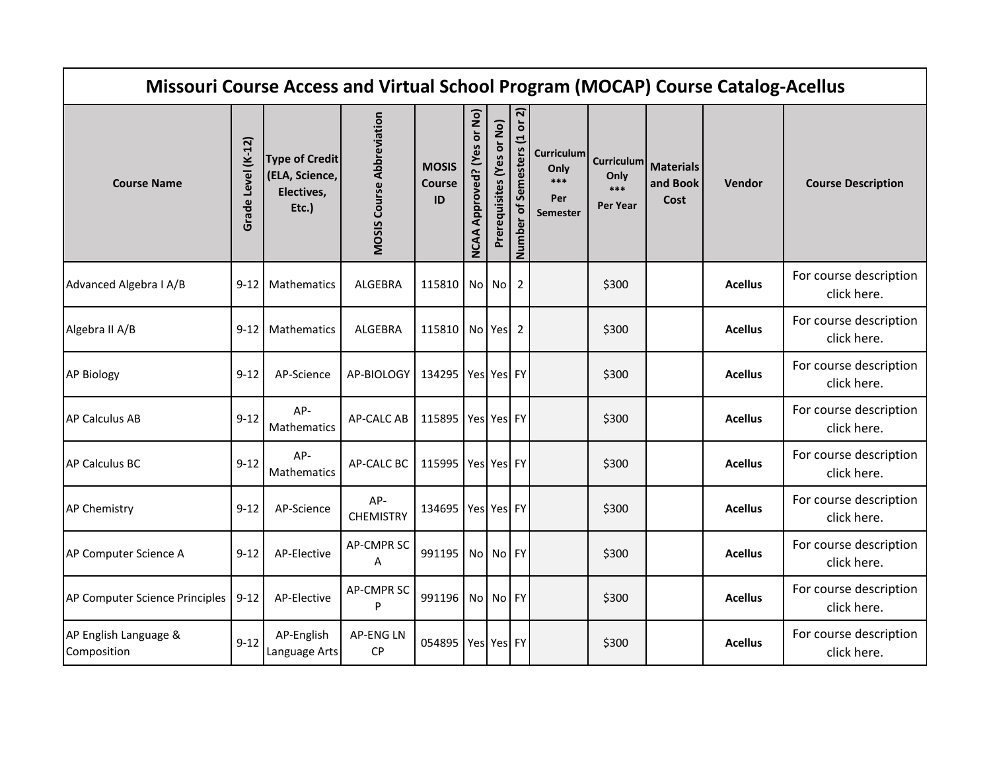| Missouri Course Access and Virtual School Program (MOCAP) Course Catalog-Acellus |                    |                                                                |                                  |                                     |                                      |                           |                              |                                                       |                         |                                          |                |                                       |
|----------------------------------------------------------------------------------|--------------------|----------------------------------------------------------------|----------------------------------|-------------------------------------|--------------------------------------|---------------------------|------------------------------|-------------------------------------------------------|-------------------------|------------------------------------------|----------------|---------------------------------------|
| <b>Course Name</b>                                                               | Grade Level (K-12) | <b>Type of Credit</b><br>(ELA, Science,<br>Electives,<br>Etc.) | <b>MOSIS Course Abbreviation</b> | <b>MOSIS</b><br><b>Course</b><br>ID | Approved? (Yes or No)<br><b>NCAA</b> | Prerequisites (Yes or No) | Number of Semesters (1 or 2) | Curriculum<br>Only<br>$***$<br>Per<br><b>Semester</b> | Only<br>***<br>Per Year | Curriculum Materials<br>and Book<br>Cost | Vendor         | <b>Course Description</b>             |
| Advanced Algebra I A/B                                                           | $9 - 12$           | <b>Mathematics</b>                                             | ALGEBRA                          | 115810                              |                                      | No No                     | $\overline{2}$               |                                                       | \$300                   |                                          | <b>Acellus</b> | For course description<br>click here. |
| Algebra II A/B                                                                   | $9 - 12$           | Mathematics                                                    | ALGEBRA                          | 115810 No Yes                       |                                      |                           | 2                            |                                                       | \$300                   |                                          | <b>Acellus</b> | For course description<br>click here. |
| <b>AP Biology</b>                                                                | $9 - 12$           | AP-Science                                                     | AP-BIOLOGY                       | 134295                              |                                      | Yes Yes FY                |                              |                                                       | \$300                   |                                          | <b>Acellus</b> | For course description<br>click here. |
| <b>AP Calculus AB</b>                                                            | $9 - 12$           | AP-<br><b>Mathematics</b>                                      | <b>AP-CALC AB</b>                | 115895 Yes Yes FY                   |                                      |                           |                              |                                                       | \$300                   |                                          | <b>Acellus</b> | For course description<br>click here. |
| AP Calculus BC                                                                   | $9 - 12$           | AP-<br>Mathematics                                             | AP-CALC BC                       | 115995                              |                                      | Yes Yes FY                |                              |                                                       | \$300                   |                                          | <b>Acellus</b> | For course description<br>click here. |
| <b>AP Chemistry</b>                                                              | $9 - 12$           | AP-Science                                                     | AP-<br><b>CHEMISTRY</b>          | 134695                              |                                      | Yes Yes FY                |                              |                                                       | \$300                   |                                          | <b>Acellus</b> | For course description<br>click here. |
| AP Computer Science A                                                            | $9 - 12$           | AP-Elective                                                    | <b>AP-CMPR SC</b><br>A           | 991195                              |                                      | No No FY                  |                              |                                                       | \$300                   |                                          | <b>Acellus</b> | For course description<br>click here. |
| AP Computer Science Principles   9-12                                            |                    | AP-Elective                                                    | <b>AP-CMPR SC</b><br>P           | 991196 No No FY                     |                                      |                           |                              |                                                       | \$300                   |                                          | <b>Acellus</b> | For course description<br>click here. |
| AP English Language &<br>Composition                                             | $9 - 12$           | AP-English<br>Language Arts                                    | <b>AP-ENG LN</b><br><b>CP</b>    | 054895                              |                                      | Yes Yes FY                |                              |                                                       | \$300                   |                                          | <b>Acellus</b> | For course description<br>click here. |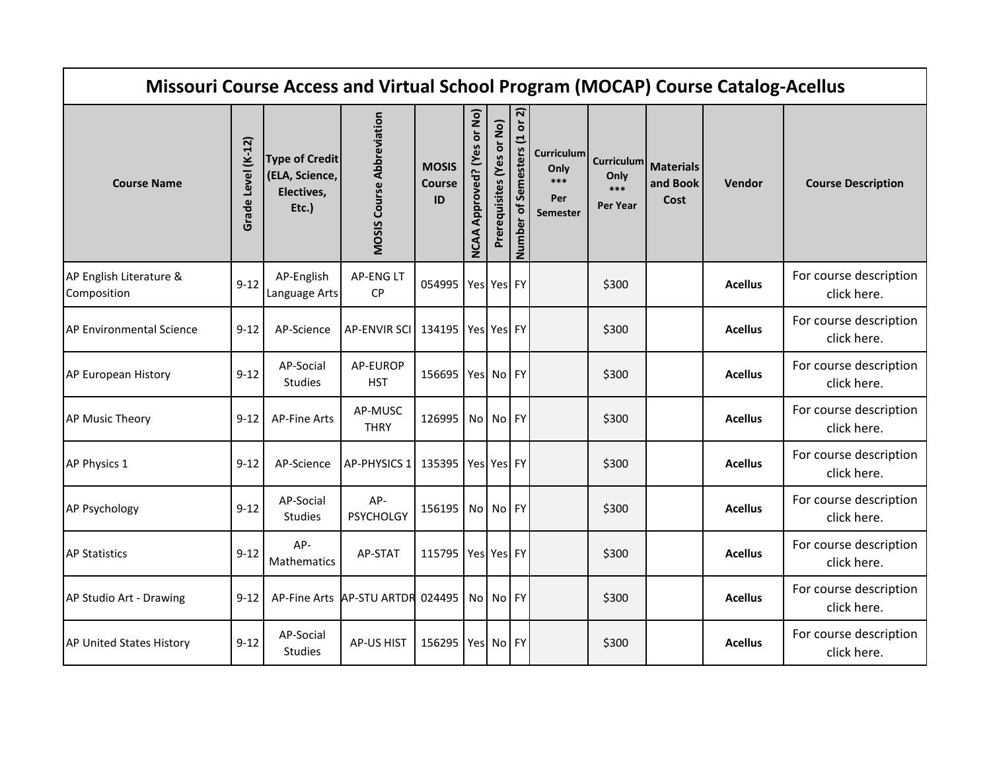|                                        | Missouri Course Access and Virtual School Program (MOCAP) Course Catalog-Acellus |                                                                |                                  |                                     |                            |                           |                              |                                                     |                                                     |                                      |                |                                       |  |
|----------------------------------------|----------------------------------------------------------------------------------|----------------------------------------------------------------|----------------------------------|-------------------------------------|----------------------------|---------------------------|------------------------------|-----------------------------------------------------|-----------------------------------------------------|--------------------------------------|----------------|---------------------------------------|--|
| <b>Course Name</b>                     | $(K-12)$<br><b>Grade Level</b>                                                   | <b>Type of Credit</b><br>(ELA, Science,<br>Electives,<br>Etc.) | <b>MOSIS Course Abbreviation</b> | <b>MOSIS</b><br><b>Course</b><br>ID | NCAA Approved? (Yes or No) | Prerequisites (Yes or No) | Number of Semesters (1 or 2) | <b>Curriculum</b><br>Only<br>***<br>Per<br>Semester | <b>Curriculum</b><br>Only<br>***<br><b>Per Year</b> | <b>Materials</b><br>and Book<br>Cost | <b>Vendor</b>  | <b>Course Description</b>             |  |
| AP English Literature &<br>Composition | $9 - 12$                                                                         | AP-English<br>Language Arts                                    | <b>AP-ENGLT</b><br><b>CP</b>     | 054995                              | Yes Yes FY                 |                           |                              |                                                     | \$300                                               |                                      | <b>Acellus</b> | For course description<br>click here. |  |
| AP Environmental Science               | $9 - 12$                                                                         | AP-Science                                                     | <b>AP-ENVIR SCI</b>              | 134195   Yes   Yes   FY             |                            |                           |                              |                                                     | \$300                                               |                                      | <b>Acellus</b> | For course description<br>click here. |  |
| AP European History                    | $9 - 12$                                                                         | AP-Social<br>Studies                                           | AP-EUROP<br><b>HST</b>           | 156695 Yes No FY                    |                            |                           |                              |                                                     | \$300                                               |                                      | <b>Acellus</b> | For course description<br>click here. |  |
| <b>AP Music Theory</b>                 | $9 - 12$                                                                         | <b>AP-Fine Arts</b>                                            | AP-MUSC<br><b>THRY</b>           | 126995   No   No   FY               |                            |                           |                              |                                                     | \$300                                               |                                      | <b>Acellus</b> | For course description<br>click here. |  |
| AP Physics 1                           | $9 - 12$                                                                         | AP-Science                                                     | <b>AP-PHYSICS 1</b>              | 135395 Yes Yes FY                   |                            |                           |                              |                                                     | \$300                                               |                                      | <b>Acellus</b> | For course description<br>click here. |  |
| <b>AP Psychology</b>                   | $9 - 12$                                                                         | AP-Social<br>Studies                                           | AP-<br><b>PSYCHOLGY</b>          | 156195 No No FY                     |                            |                           |                              |                                                     | \$300                                               |                                      | <b>Acellus</b> | For course description<br>click here. |  |
| <b>AP Statistics</b>                   | $9 - 12$                                                                         | AP-<br>Mathematics                                             | AP-STAT                          | 115795   Yes   Yes   FY             |                            |                           |                              |                                                     | \$300                                               |                                      | <b>Acellus</b> | For course description<br>click here. |  |
| AP Studio Art - Drawing                | $9 - 12$                                                                         |                                                                | AP-Fine Arts AP-STU ARTDR        | 024495 No No FY                     |                            |                           |                              |                                                     | \$300                                               |                                      | <b>Acellus</b> | For course description<br>click here. |  |
| AP United States History               | $9 - 12$                                                                         | AP-Social<br><b>Studies</b>                                    | <b>AP-US HIST</b>                | 156295 Yes No FY                    |                            |                           |                              |                                                     | \$300                                               |                                      | <b>Acellus</b> | For course description<br>click here. |  |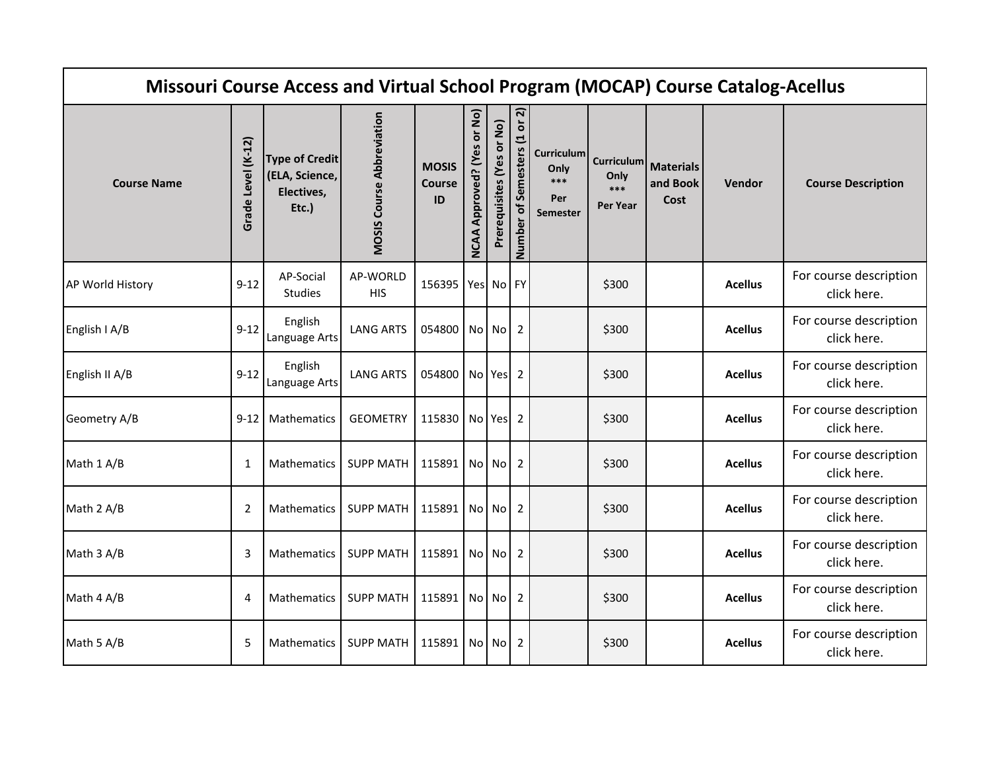| Missouri Course Access and Virtual School Program (MOCAP) Course Catalog-Acellus |                    |                                                                |                                  |                                     |                                         |                           |                              |                                                              |                                                     |                                      |                |                                       |
|----------------------------------------------------------------------------------|--------------------|----------------------------------------------------------------|----------------------------------|-------------------------------------|-----------------------------------------|---------------------------|------------------------------|--------------------------------------------------------------|-----------------------------------------------------|--------------------------------------|----------------|---------------------------------------|
| <b>Course Name</b>                                                               | Grade Level (K-12) | <b>Type of Credit</b><br>(ELA, Science,<br>Electives,<br>Etc.) | <b>MOSIS Course Abbreviation</b> | <b>MOSIS</b><br><b>Course</b><br>ID | or No)<br>Approved? (Yes<br><b>NCAA</b> | Prerequisites (Yes or No) | Number of Semesters (1 or 2) | <b>Curriculum</b><br>Only<br>$***$<br>Per<br><b>Semester</b> | <b>Curriculum</b><br>Only<br>***<br><b>Per Year</b> | <b>Materials</b><br>and Book<br>Cost | Vendor         | <b>Course Description</b>             |
| AP World History                                                                 | $9 - 12$           | AP-Social<br><b>Studies</b>                                    | AP-WORLD<br><b>HIS</b>           | 156395   Yes   No   FY              |                                         |                           |                              |                                                              | \$300                                               |                                      | <b>Acellus</b> | For course description<br>click here. |
| English I A/B                                                                    | $9 - 12$           | English<br>Language Arts                                       | <b>LANG ARTS</b>                 | 054800                              |                                         | No No                     | 2                            |                                                              | \$300                                               |                                      | <b>Acellus</b> | For course description<br>click here. |
| English II A/B                                                                   | $9 - 12$           | English<br>Language Arts                                       | <b>LANG ARTS</b>                 | 054800 No Yes                       |                                         |                           | 2                            |                                                              | \$300                                               |                                      | <b>Acellus</b> | For course description<br>click here. |
| Geometry A/B                                                                     | $9 - 12$           | Mathematics                                                    | <b>GEOMETRY</b>                  | 115830   No   Yes                   |                                         |                           | 2                            |                                                              | \$300                                               |                                      | <b>Acellus</b> | For course description<br>click here. |
| Math 1 A/B                                                                       | 1                  | <b>Mathematics</b>                                             | <b>SUPP MATH</b>                 | 115891                              |                                         | No No                     | 2                            |                                                              | \$300                                               |                                      | <b>Acellus</b> | For course description<br>click here. |
| Math 2 A/B                                                                       | $\overline{2}$     | <b>Mathematics</b>                                             | <b>SUPP MATH</b>                 | 115891                              |                                         | No No                     | 2                            |                                                              | \$300                                               |                                      | <b>Acellus</b> | For course description<br>click here. |
| Math 3 A/B                                                                       | 3                  | <b>Mathematics</b>                                             | <b>SUPP MATH</b>                 | 115891                              |                                         | No No                     | 2                            |                                                              | \$300                                               |                                      | <b>Acellus</b> | For course description<br>click here. |
| Math 4 A/B                                                                       | 4                  | <b>Mathematics</b>                                             | <b>SUPP MATH</b>                 | 115891                              |                                         | No No                     | 2                            |                                                              | \$300                                               |                                      | <b>Acellus</b> | For course description<br>click here. |
| Math 5 A/B                                                                       | 5                  | Mathematics                                                    | <b>SUPP MATH</b>                 | 115891                              |                                         | No No                     | $\overline{2}$               |                                                              | \$300                                               |                                      | <b>Acellus</b> | For course description<br>click here. |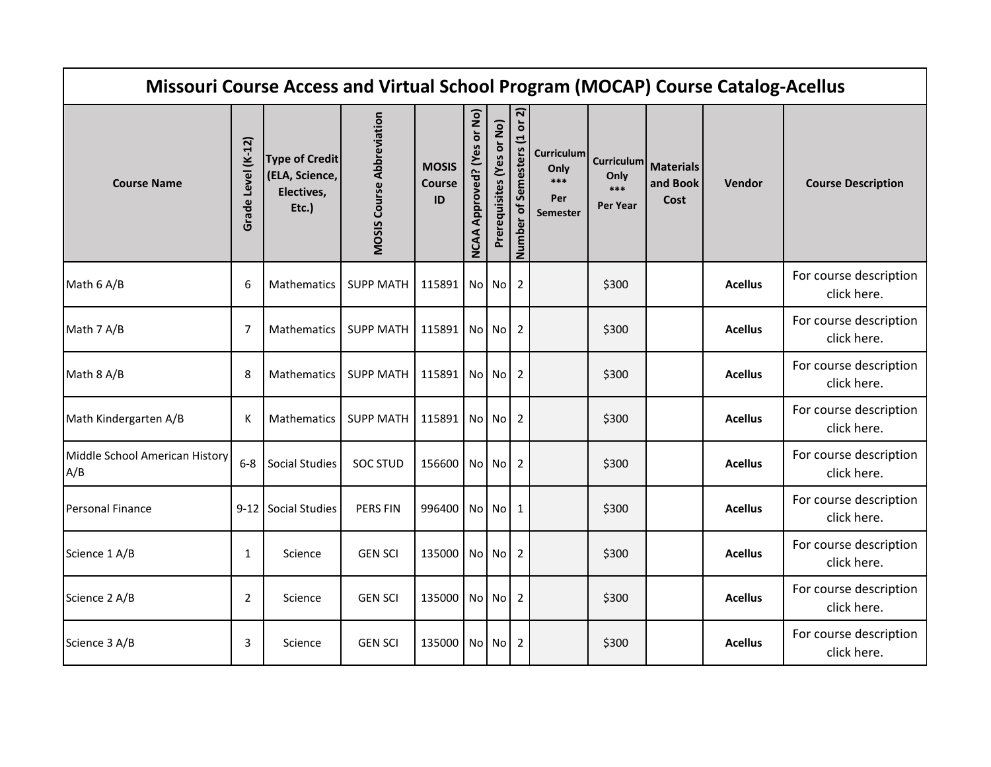| Missouri Course Access and Virtual School Program (MOCAP) Course Catalog-Acellus |                    |                                                                |                                  |                                     |                            |                           |                              |                                              |                                                     |                                      |                |                                       |
|----------------------------------------------------------------------------------|--------------------|----------------------------------------------------------------|----------------------------------|-------------------------------------|----------------------------|---------------------------|------------------------------|----------------------------------------------|-----------------------------------------------------|--------------------------------------|----------------|---------------------------------------|
| <b>Course Name</b>                                                               | Grade Level (K-12) | <b>Type of Credit</b><br>(ELA, Science,<br>Electives,<br>Etc.) | <b>MOSIS Course Abbreviation</b> | <b>MOSIS</b><br><b>Course</b><br>ID | NCAA Approved? (Yes or No) | Prerequisites (Yes or No) | Number of Semesters (1 or 2) | Curriculum<br>Only<br>***<br>Per<br>Semester | <b>Curriculum</b><br>Only<br>***<br><b>Per Year</b> | <b>Materials</b><br>and Book<br>Cost | <b>Vendor</b>  | <b>Course Description</b>             |
| Math 6 A/B                                                                       | 6                  | <b>Mathematics</b>                                             | <b>SUPP MATH</b>                 | 115891 No No                        |                            |                           | $\overline{2}$               |                                              | \$300                                               |                                      | <b>Acellus</b> | For course description<br>click here. |
| Math 7 A/B                                                                       | $\overline{7}$     | <b>Mathematics</b>                                             | <b>SUPP MATH</b>                 | 115891 No No 2                      |                            |                           |                              |                                              | \$300                                               |                                      | <b>Acellus</b> | For course description<br>click here. |
| Math 8 A/B                                                                       | 8                  | <b>Mathematics</b>                                             | <b>SUPP MATH</b>                 | 115891 No No 2                      |                            |                           |                              |                                              | \$300                                               |                                      | <b>Acellus</b> | For course description<br>click here. |
| Math Kindergarten A/B                                                            | К                  | <b>Mathematics</b>                                             | <b>SUPP MATH</b>                 | 115891 No No 2                      |                            |                           |                              |                                              | \$300                                               |                                      | <b>Acellus</b> | For course description<br>click here. |
| Middle School American History<br>A/B                                            | $6-8$              | <b>Social Studies</b>                                          | <b>SOC STUD</b>                  | 156600 No No                        |                            |                           | 2                            |                                              | \$300                                               |                                      | <b>Acellus</b> | For course description<br>click here. |
| Personal Finance                                                                 |                    | 9-12 Social Studies                                            | <b>PERS FIN</b>                  | 996400 No No 1                      |                            |                           |                              |                                              | \$300                                               |                                      | <b>Acellus</b> | For course description<br>click here. |
| Science 1 A/B                                                                    | 1                  | Science                                                        | <b>GEN SCI</b>                   | 135000 No No                        |                            |                           | 2                            |                                              | \$300                                               |                                      | <b>Acellus</b> | For course description<br>click here. |
| Science 2 A/B                                                                    | $\overline{2}$     | Science                                                        | <b>GEN SCI</b>                   | 135000 No No                        |                            |                           | 2                            |                                              | \$300                                               |                                      | <b>Acellus</b> | For course description<br>click here. |
| Science 3 A/B                                                                    | 3                  | Science                                                        | <b>GEN SCI</b>                   | 135000 No No                        |                            |                           | $\overline{2}$               |                                              | \$300                                               |                                      | <b>Acellus</b> | For course description<br>click here. |